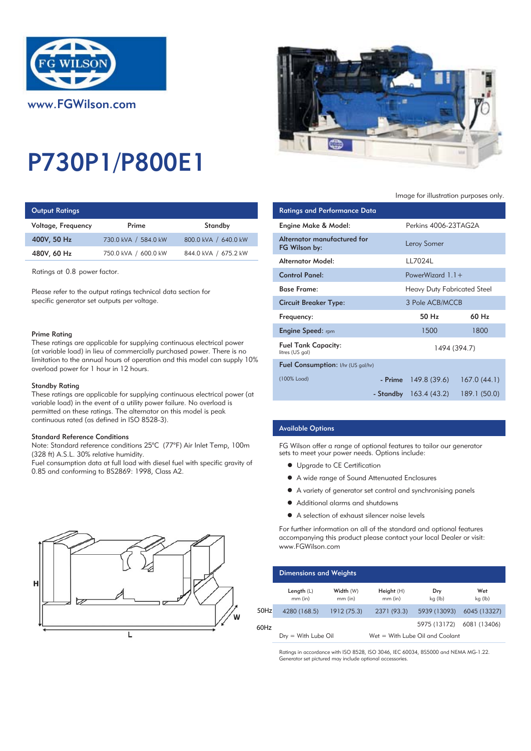

# P730P1/P800E1

# **Output Ratings**

| Voltage, Frequency | Prime                | Standby              | Engine Make & Model:  |
|--------------------|----------------------|----------------------|-----------------------|
| 400V, 50 Hz        | 730.0 kVA / 584.0 kW | 800.0 kVA / 640.0 kW | Alternator manufactur |
| 480V, 60 Hz        | 750.0 kVA / 600.0 kW | 844.0 kVA / 675.2 kW | FG Wilson by:         |
|                    |                      |                      |                       |

Ratings at 0.8 power factor.

Please refer to the output ratings technical data section for specific generator set outputs per voltage.

#### Prime Rating

These ratings are applicable for supplying continuous electrical power (at variable load) in lieu of commercially purchased power. There is no limitation to the annual hours of operation and this model can supply 10% overload power for 1 hour in 12 hours.

### Standby Rating

These ratings are applicable for supplying continuous electrical power (at variable load) in the event of a utility power failure. No overload is permitted on these ratings. The alternator on this model is peak continuous rated (as defined in ISO 8528-3).

#### Standard Reference Conditions

Note: Standard reference conditions 25°C (77°F) Air Inlet Temp, 100m (328 ft) A.S.L. 30% relative humidity.

Fuel consumption data at full load with diesel fuel with specific gravity of 0.85 and conforming to BS2869: 1998, Class A2.





## Image for illustration purposes only.

| <b>Ratings and Performance Data</b>           |  |                               |                   |
|-----------------------------------------------|--|-------------------------------|-------------------|
| Engine Make & Model:                          |  | Perkins 4006-23TAG2A          |                   |
| Alternator manufactured for<br>FG Wilson by:  |  | Leroy Somer                   |                   |
| Alternator Model:                             |  | LL7024L                       |                   |
| <b>Control Panel:</b>                         |  | PowerWizard $1.1+$            |                   |
| <b>Base Frame:</b>                            |  | Heavy Duty Fabricated Steel   |                   |
| Circuit Breaker Type:                         |  | 3 Pole ACB/MCCB               |                   |
| Frequency:                                    |  | 50 H <sub>z</sub>             | 60 H <sub>z</sub> |
| <b>Engine Speed:</b> rpm                      |  | 1500                          | 1800              |
| <b>Fuel Tank Capacity:</b><br>litres (US gal) |  | 1494 (394.7)                  |                   |
| <b>Fuel Consumption:</b> I/hr (US gal/hr)     |  |                               |                   |
| (100% Load)                                   |  | $-$ Prime $149.8(39.6)$       | 167.0(44.1)       |
|                                               |  | <b>- Standby</b> 163.4 (43.2) | 189.1 (50.0)      |

# Available Options

FG Wilson offer a range of optional features to tailor our generator sets to meet your power needs. Options include:

- **•** Upgrade to CE Certification
- A wide range of Sound Attenuated Enclosures
- A variety of generator set control and synchronising panels
- Additional alarms and shutdowns
- A selection of exhaust silencer noise levels

For further information on all of the standard and optional features accompanying this product please contact your local Dealer or visit: www.FGWilson.com

|         | <b>Dimensions and Weights</b> |                        |                         |                                   |                |
|---------|-------------------------------|------------------------|-------------------------|-----------------------------------|----------------|
|         | Length $(L)$<br>$mm$ (in)     | Width (W)<br>$mm$ (in) | Height (H)<br>$mm$ (in) | Dry<br>kg (lb)                    | Wet<br>kg (lb) |
| $50$ Hz | 4280 (168.5)                  | 1912 (75.3)            | 2371 (93.3)             | 5939 (13093)                      | 6045 (13327)   |
| 60Hz    |                               |                        |                         | 5975 (13172)                      | 6081 (13406)   |
|         | $Dry = With Lube Oil$         |                        |                         | $Wet = With Lube Oil and Coolant$ |                |

Ratings in accordance with ISO 8528, ISO 3046, IEC 60034, BS5000 and NEMA MG-1.22. Generator set pictured may include optional accessories.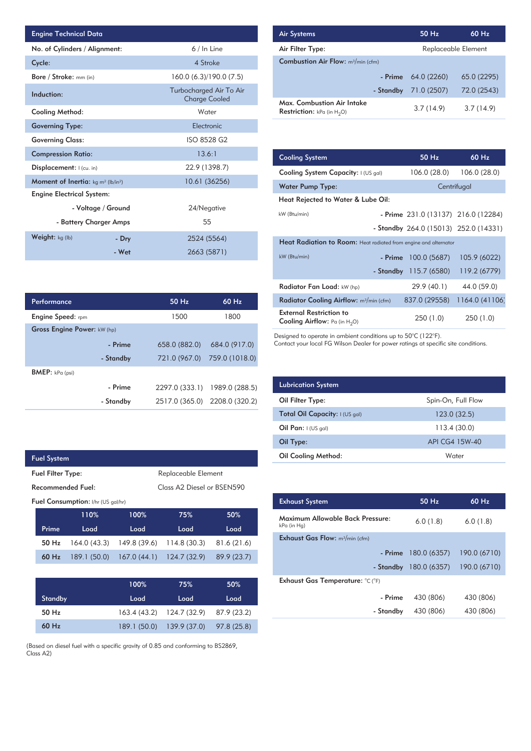| <b>Engine Technical Data</b>                                |                    |                                                 | <b>Air Systems</b>  |
|-------------------------------------------------------------|--------------------|-------------------------------------------------|---------------------|
| No. of Cylinders / Alignment:                               |                    | 6 / In Line                                     | Air Filter Ty       |
| Cycle:                                                      |                    | 4 Stroke                                        | Combustior          |
| Bore / Stroke: mm (in)                                      |                    | 160.0 (6.3)/190.0 (7.5)                         |                     |
| Induction:                                                  |                    | Turbocharged Air To Air<br><b>Charge Cooled</b> | Max. Comb           |
| Cooling Method:                                             |                    | Water                                           | <b>Restriction:</b> |
| <b>Governing Type:</b>                                      |                    | Electronic                                      |                     |
| <b>Governing Class:</b>                                     |                    | ISO 8528 G2                                     |                     |
| <b>Compression Ratio:</b>                                   |                    | 13.6:1                                          | <b>Cooling Sys</b>  |
| Displacement:   (cu. in)                                    |                    | 22.9 (1398.7)                                   | <b>Cooling Sys</b>  |
| <b>Moment of Inertia:</b> $kg \, m^2$ (lb/in <sup>2</sup> ) |                    | 10.61 (36256)                                   | Water Pum           |
| <b>Engine Electrical System:</b>                            |                    |                                                 | <b>Heat Reject</b>  |
|                                                             | - Voltage / Ground | 24/Negative                                     |                     |
| - Battery Charger Amps                                      |                    | 55                                              | kW (Btu/min)        |
| <b>Weight:</b> $kg$ (lb)                                    | - Dry              | 2524 (5564)                                     | <b>Heat Radia</b>   |
|                                                             | - Wet              | 2663 (5871)                                     | kW (Btu/min)        |

| Performance                 |           | 50 Hz          | 60 Hz                         |
|-----------------------------|-----------|----------------|-------------------------------|
| <b>Engine Speed:</b> rpm    |           | 1500           | 1800                          |
| Gross Engine Power: kW (hp) |           |                |                               |
|                             | - Prime   | 658.0 (882.0)  | 684.0 (917.0)                 |
|                             | - Standby |                | 721.0 (967.0) 759.0 (1018.0)  |
| <b>BMEP:</b> $kPa$ (psi)    |           |                |                               |
|                             | - Prime   | 2297.0 (333.1) | 1989.0 (288.5)                |
|                             | - Standby |                | 2517.0 (365.0) 2208.0 (320.2) |

|                                           | <b>Fuel System</b> |                   |                     |                                        |             |  |
|-------------------------------------------|--------------------|-------------------|---------------------|----------------------------------------|-------------|--|
| <b>Fuel Filter Type:</b>                  |                    |                   | Replaceable Element |                                        |             |  |
|                                           |                    | Recommended Fuel: |                     | Class A <sub>2</sub> Diesel or BSEN590 |             |  |
| <b>Fuel Consumption:</b> I/hr (US gal/hr) |                    |                   |                     |                                        |             |  |
|                                           |                    | 110%              | 100%                | 75%                                    | 50%         |  |
|                                           | Prime              | Load              | Load                | Load                                   | Load        |  |
|                                           | $50$ Hz            | 164.0(43.3)       | 149.8 (39.6)        | 114.8(30.3)                            | 81.6(21.6)  |  |
|                                           | 60 Hz              | 189.1 (50.0)      | 167.0(44.1)         | 124.7(32.9)                            | 89.9 (23.7) |  |
|                                           |                    |                   |                     |                                        |             |  |
|                                           |                    |                   | 100%                | 75%                                    | 50%         |  |

 $\overline{\phantom{a}}$ 

|         | 100% | 75%                                   | 50%  |
|---------|------|---------------------------------------|------|
| Standby | Load | Load                                  | Load |
| $50$ Hz |      | 163.4 (43.2) 124.7 (32.9) 87.9 (23.2) |      |
| $60$ Hz |      | 189.1 (50.0) 139.9 (37.0) 97.8 (25.8) |      |

(Based on diesel fuel with a specific gravity of 0.85 and conforming to BS2869, Class A2)

| <b>Air Systems</b>                                                              | 50 Hz       | 60 Hz               |
|---------------------------------------------------------------------------------|-------------|---------------------|
| Air Filter Type:                                                                |             | Replaceable Element |
| <b>Combustion Air Flow:</b> m <sup>3</sup> /min (cfm)                           |             |                     |
| - Prime                                                                         | 64.0 (2260) | 65.0 (2295)         |
| - Standby                                                                       | 71.0 (2507) | 72.0 (2543)         |
| Max. Combustion Air Intake<br>$\mathsf{Restriction}: kPa$ (in H <sub>e</sub> O) | 3.7(14.9)   | 3.7(14.9)           |

Restriction:  $kPa$  (in  $H_2O$ )

| 13.6:1           | <b>Cooling System</b>                                                     | $50$ Hz                               | 60 Hz          |  |
|------------------|---------------------------------------------------------------------------|---------------------------------------|----------------|--|
| 22.9 (1398.7)    | Cooling System Capacity: I (US gal)                                       | 106.0 (28.0)                          | 106.0 (28.0)   |  |
| 10.61 (36256)    | <b>Water Pump Type:</b>                                                   |                                       | Centrifugal    |  |
|                  | Heat Rejected to Water & Lube Oil:                                        |                                       |                |  |
| 24/Negative      | kW (Btu/min)                                                              | - Prime 231.0 (13137) 216.0 (12284)   |                |  |
| 55               |                                                                           | - Standby 264.0 (15013) 252.0 (14331) |                |  |
| 2524 (5564)      | <b>Heat Radiation to Room:</b> Heat radiated from engine and alternator   |                                       |                |  |
| 2663 (5871)      | kW (Btu/min)<br>- Prime                                                   | 100.0 (5687)                          | 105.9 (6022)   |  |
|                  | - Standby                                                                 | 115.7 (6580)                          | 119.2 (6779)   |  |
|                  | Radiator Fan Load: kW (hp)                                                | 29.9 (40.1)                           | 44.0 (59.0)    |  |
| $50$ Hz<br>60 Hz | Radiator Cooling Airflow: m <sup>3</sup> /min (cfm)                       | 837.0 (29558)                         | 1164.0 (41106) |  |
| 1500<br>1800     | <b>External Restriction to</b><br><b>Cooling Airflow:</b> Pa (in $H_2O$ ) | 250(1.0)                              | 250(1.0)       |  |

Designed to operate in ambient conditions up to 50°C (122°F).

Contact your local FG Wilson Dealer for power ratings at specific site conditions.

| <b>Lubrication System</b>      |                    |
|--------------------------------|--------------------|
| Oil Filter Type:               | Spin-On, Full Flow |
| Total Oil Capacity: I (US gal) | 123.0(32.5)        |
| Oil Pan: $I(US gal)$           | 113.4(30.0)        |
| Oil Type:                      | API CG4 15W-40     |
| <b>Oil Cooling Method:</b>     | Water              |

| <b>Exhaust System</b>                           | 50 Hz        | 60 Hz        |
|-------------------------------------------------|--------------|--------------|
| Maximum Allowable Back Pressure:<br>kPa (in Hg) | 6.0(1.8)     | 6.0(1.8)     |
| <b>Exhaust Gas Flow:</b> $m^3/m$ in (cfm)       |              |              |
| - Prime                                         | 180.0 (6357) | 190.0 (6710) |
| - Standby                                       | 180.0 (6357) | 190.0 (6710) |
| Exhaust Gas Temperature: °C (°F)                |              |              |
| - Prime                                         | 430 (806)    | 430 (806)    |
| - Standby                                       | 430 (806)    | 430 (806)    |
|                                                 |              |              |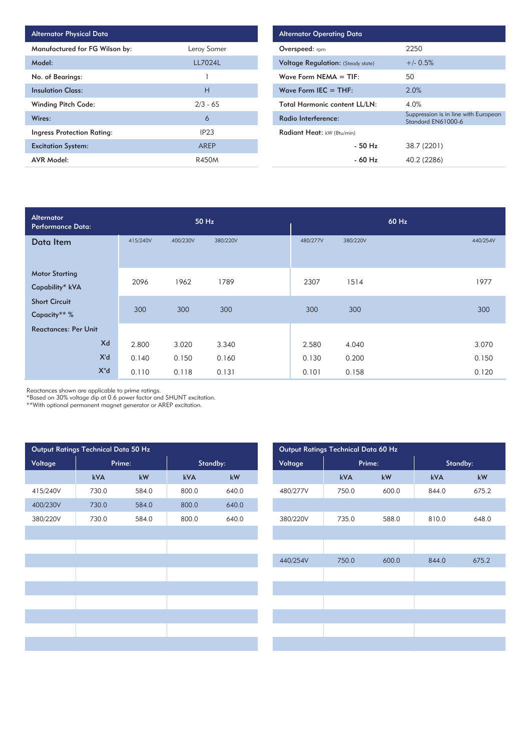| <b>Alternator Physical Data</b>   |                  |
|-----------------------------------|------------------|
| Manufactured for FG Wilson by:    | Leroy Somer      |
| Model:                            | LL7024L          |
| No. of Bearings:                  |                  |
| <b>Insulation Class:</b>          | Н                |
| <b>Winding Pitch Code:</b>        | $2/3 - 6S$       |
| Wires:                            | 6                |
| <b>Ingress Protection Rating:</b> | IP <sub>23</sub> |
| <b>Excitation System:</b>         | AREP             |
| <b>AVR Model:</b>                 | <b>R450M</b>     |

| <b>Alternator Operating Data</b>          |                      |                                                            |  |  |  |  |  |
|-------------------------------------------|----------------------|------------------------------------------------------------|--|--|--|--|--|
| <b>Overspeed:</b> rpm                     |                      | 2250                                                       |  |  |  |  |  |
| <b>Voltage Regulation:</b> (Steady state) |                      | $+/- 0.5%$                                                 |  |  |  |  |  |
| Wave Form NEMA $=$ TIF:                   | 50                   |                                                            |  |  |  |  |  |
| Wave Form $IEC = THE$ :                   |                      | 2.0%                                                       |  |  |  |  |  |
| <b>Total Harmonic content LL/LN:</b>      |                      | 4.0%                                                       |  |  |  |  |  |
| Radio Interference:                       |                      | Suppression is in line with European<br>Standard EN61000-6 |  |  |  |  |  |
| Radiant Heat: kW (Btu/min)                |                      |                                                            |  |  |  |  |  |
|                                           | $-50$ H <sub>z</sub> | 38.7 (2201)                                                |  |  |  |  |  |
|                                           | - 60 Hz              | 40.2 (2286)                                                |  |  |  |  |  |

| Alternator<br><b>Performance Data:</b> | 50 Hz    |          |          | 60 Hz    |          |       |          |
|----------------------------------------|----------|----------|----------|----------|----------|-------|----------|
| Data Item                              | 415/240V | 400/230V | 380/220V | 480/277V | 380/220V |       | 440/254V |
| <b>Motor Starting</b>                  |          |          |          |          |          |       |          |
| Capability* kVA                        | 2096     | 1962     | 1789     | 2307     | 1514     |       | 1977     |
| <b>Short Circuit</b>                   |          |          |          |          |          |       |          |
| Capacity** %                           | 300      | 300      | 300      | 300      | 300      |       | 300      |
| <b>Reactances: Per Unit</b>            |          |          |          |          |          |       |          |
| Xd                                     | 2.800    | 3.020    | 3.340    | 2.580    | 4.040    |       | 3.070    |
| X'd                                    | 0.140    | 0.150    | 0.160    | 0.130    | 0.200    |       | 0.150    |
| $X^{\prime\prime}$ d                   | 0.110    | 0.118    | 0.131    | 0.101    | 0.158    | 0.120 |          |

Reactances shown are applicable to prime ratings.

\*Based on 30% voltage dip at 0.6 power factor and SHUNT excitation.

\*\*With optional permanent magnet generator or AREP excitation.

|          | Output Ratings Technical Data 50 Hz |       |          |       |          |          |       | Output Ratings Technical Data 60 Hz |          |
|----------|-------------------------------------|-------|----------|-------|----------|----------|-------|-------------------------------------|----------|
| Voltage  | Prime:                              |       | Standby: |       |          | Voltage  |       | Prime:                              | Standby: |
|          | kVA                                 | kW    | kVA      | kW    |          |          | kVA   | kW                                  | kVA      |
| 415/240V | 730.0                               | 584.0 | 800.0    | 640.0 |          | 480/277V | 750.0 | 600.0                               | 844.0    |
| 400/230V | 730.0                               | 584.0 | 800.0    | 640.0 |          |          |       |                                     |          |
| 380/220V | 730.0                               | 584.0 | 800.0    | 640.0 | 380/220V |          | 735.0 | 588.0                               | 810.0    |
|          |                                     |       |          |       |          |          |       |                                     |          |
|          |                                     |       |          |       |          |          |       |                                     |          |
|          |                                     |       |          |       | 440/254V |          | 750.0 | 600.0                               | 844.0    |
|          |                                     |       |          |       |          |          |       |                                     |          |
|          |                                     |       |          |       |          |          |       |                                     |          |
|          |                                     |       |          |       |          |          |       |                                     |          |
|          |                                     |       |          |       |          |          |       |                                     |          |
|          |                                     |       |          |       |          |          |       |                                     |          |
|          |                                     |       |          |       |          |          |       |                                     |          |